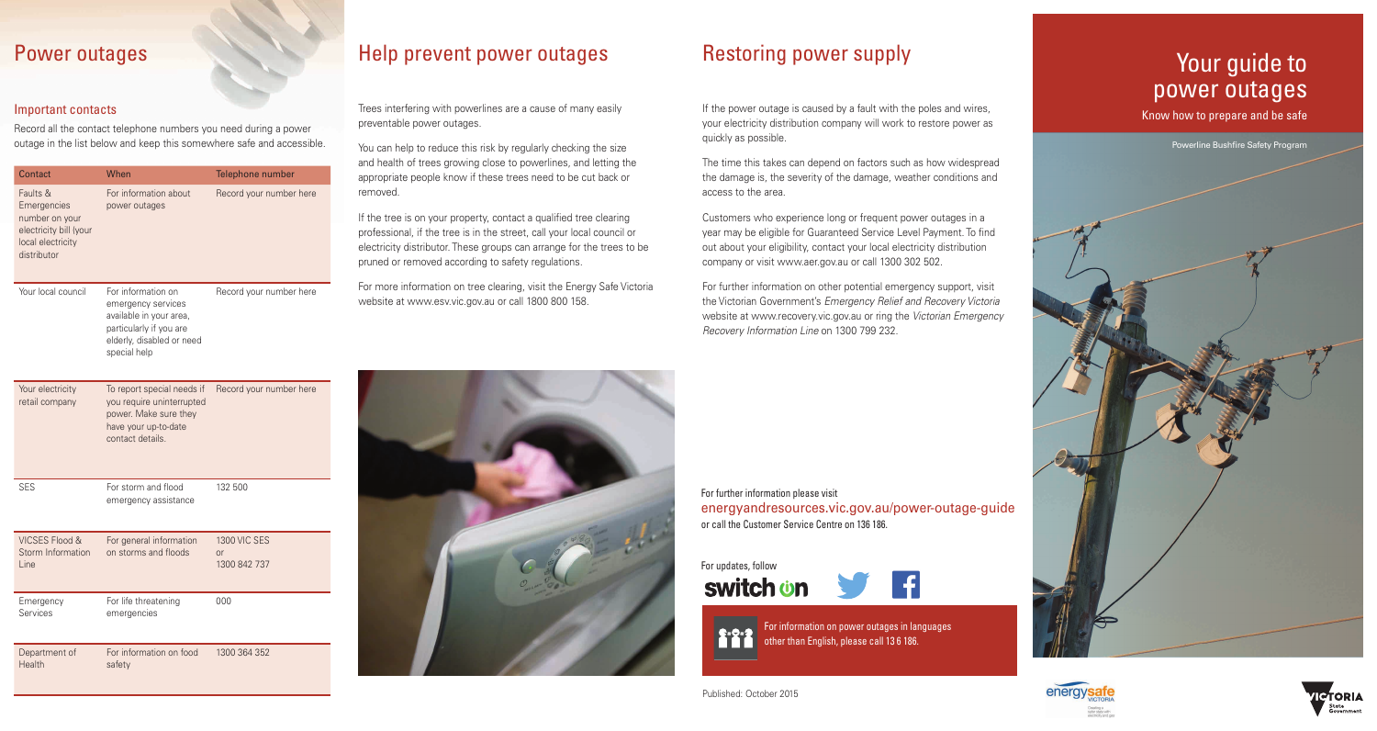## Power outages

#### Important contacts

Record all the contact telephone numbers you need during a power outage in the list below and keep this somewhere safe and accessible.

| Contact                                                                                                 | When                                                                                                                                        | Telephone number        |
|---------------------------------------------------------------------------------------------------------|---------------------------------------------------------------------------------------------------------------------------------------------|-------------------------|
| Faults &<br>Emergencies<br>number on your<br>electricity bill (your<br>local electricity<br>distributor | For information about<br>power outages                                                                                                      | Record your number here |
| Your local council                                                                                      | For information on<br>emergency services<br>available in your area,<br>particularly if you are<br>elderly, disabled or need<br>special help | Record your number here |
| Your electricity<br>retail company                                                                      | To report special needs if<br>you require uninterrupted<br>power. Make sure they<br>have your up-to-date<br>contact details.                | Record your number here |

SES For storm and flood emergency assistance 132 500

| VICSES Flood &<br>Storm Information<br>Line | For general information<br>on storms and floods | <b>1300 VIC SES</b><br>or<br>1300 842 737 |
|---------------------------------------------|-------------------------------------------------|-------------------------------------------|
| Emergency<br>Services                       | For life threatening<br>emergencies             | 000                                       |

Department of Health For information on food safety 1300 364 352

## Help prevent power outages

Trees interfering with powerlines are a cause of many easily preventable power outages.

You can help to reduce this risk by regularly checking the size and health of trees growing close to powerlines, and letting the appropriate people know if these trees need to be cut back or removed.

If the tree is on your property, contact a qualified tree clearing professional, if the tree is in the street, call your local council or electricity distributor. These groups can arrange for the trees to be pruned or removed according to safety regulations.

For more information on tree clearing, visit the Energy Safe Victoria website at www.esv.vic.gov.au or call 1800 800 158.

## Restoring power supply

If the power outage is caused by a fault with the poles and wires, your electricity distribution company will work to restore power as quickly as possible.

The time this takes can depend on factors such as how widespread the damage is, the severity of the damage, weather conditions and access to the area.

Customers who experience long or frequent power outages in a year may be eligible for Guaranteed Service Level Payment. To find out about your eligibility, contact your local electricity distribution company or visit www.aer.gov.au or call 1300 302 502.

For further information on other potential emergency support, visit the Victorian Government's *Emergency Relief and Recovery Victoria* website at www.recovery.vic.gov.au or ring the *Victorian Emergency Recovery Information Line* on 1300 799 232.

For information on power outages in languages

**C-O-O** The middle in the bower budges in the **C-O-O** other than English, please call 13 6 186.

Your guide to power outages

Know how to prepare and be safe

Powerline Bushfire Safety Program







Published: October 2015

For updates, follow

switch **on** 

For further information please visit

or call the Customer Service Centre on 136 186.